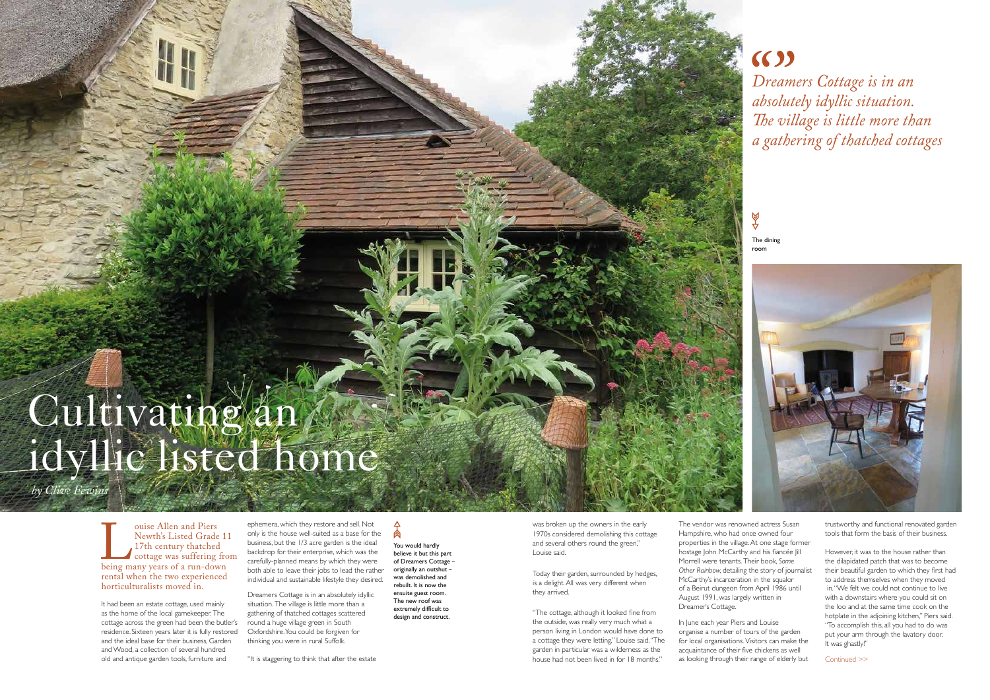ephemera, which they restore and sell. Not only is the house well-suited as a base for the business, but the 1/3 acre garden is the ideal backdrop for their enterprise, which was the carefully-planned means by which they were both able to leave their jobs to lead the rather individual and sustainable lifestyle they desired.

高 You would hardly believe it but this part of Dreamers Cottage – originally an outshut – was demolished and rebuilt. It is now the ensuite guest room. The new roof was extremely difficult to design and construct.

Dreamers Cottage is in an absolutely idyllic situation. The village is little more than a gathering of thatched cottages scattered round a huge village green in South Oxfordshire. You could be forgiven for thinking you were in rural Suffolk.

"It is staggering to think that after the estate

# $(6)$ *Dreamers Cottage is in an absolutely idyllic situation. The village is little more than a gathering of thatched cottages*

ouise Allen and Piers<br>
Newth's Listed Grade 11<br>
17th century thatched<br>
cottage was suffering fro<br>
being many years of a run-down<br>
rental when the two experienced Newth's Listed Grade 11 17th century thatched cottage was suffering from being many years of a run-down horticulturalists moved in.

The dining room



# Cultivating an idyllic listed home

*by Clive Fewins*

for local organisations. Visitors can make the acquaintance of their five chickens as well acquamanted of altern the emerging as from In June each year Piers and Louise organise a number of tours of the garden

It had been an estate cottage, used mainly as the home of the local gamekeeper. The cottage across the green had been the butler's residence. Sixteen years later it is fully restored and the ideal base for their business, Garden and Wood, a collection of several hundred old and antique garden tools, furniture and

was broken up the owners in the early 1970s considered demolishing this cottage and several others round the green," Louise said.

Today their garden, surrounded by hedges, is a delight. All was very different when they arrived.

"The cottage, although it looked fine from the outside, was really very much what a person living in London would have done to a cottage they were letting," Louise said. "The garden in particular was a wilderness as the house had not been lived in for 18 months."

The vendor was renowned actress Susan Hampshire, who had once owned four properties in the village. At one stage former hostage John McCarthy and his fiancée Jill Morrell were tenants. Their book, *Some Other Rainbow,* detailing the story of journalist McCarthy's incarceration in the squalor of a Beirut dungeon from April 1986 until August 1991, was largely written in Dreamer's Cottage.

trustworthy and functional renovated garden tools that form the basis of their business.

However, it was to the house rather than the dilapidated patch that was to become their beautiful garden to which they first had to address themselves when they moved in. "We felt we could not continue to live with a downstairs where you could sit on the loo and at the same time cook on the hotplate in the adjoining kitchen," Piers said. "To accomplish this, all you had to do was put your arm through the lavatory door. It was ghastly!"

Continued >>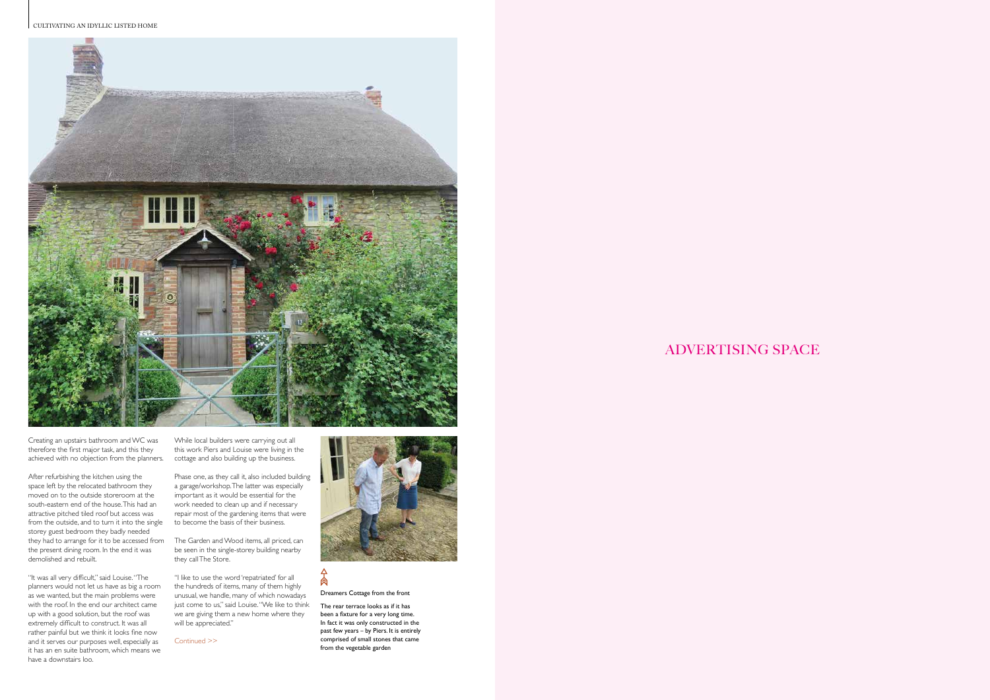

ADVERTISING SPACE

Continued >>



### 肏

After refurbishing the kitchen using the space left by the relocated bathroom they moved on to the outside storeroom at the south-eastern end of the house. This had an attractive pitched tiled roof but access was from the outside, and to turn it into the single storey guest bedroom they badly needed they had to arrange for it to be accessed from The Garden and Wood items, all priced, can the present dining room. In the end it was demolished and rebuilt.

Creating an upstairs bathroom and WC was therefore the first major task, and this they achieved with no objection from the planners. cottage and also building up the business.

> "I like to use the word 'repatriated' for all the hundreds of items, many of them highly unusual, we handle, many of which nowadays just come to us," said Louise. "We like to think we are giving them a new home where they will be appreciated."

"It was all very difficult," said Louise. "The planners would not let us have as big a room as we wanted, but the main problems were with the roof. In the end our architect came up with a good solution, but the roof was extremely difficult to construct. It was all rather painful but we think it looks fine now and it serves our purposes well, especially as it has an en suite bathroom, which means we have a downstairs loo.

While local builders were carrying out all this work Piers and Louise were living in the

Phase one, as they call it, also included building a garage/workshop. The latter was especially important as it would be essential for the work needed to clean up and if necessary repair most of the gardening items that were to become the basis of their business.

be seen in the single-storey building nearby they call The Store.

Dreamers Cottage from the front

The rear terrace looks as if it has been a fixture for a very long time. In fact it was only constructed in the past few years – by Piers. It is entirely comprised of small stones that came from the vegetable garden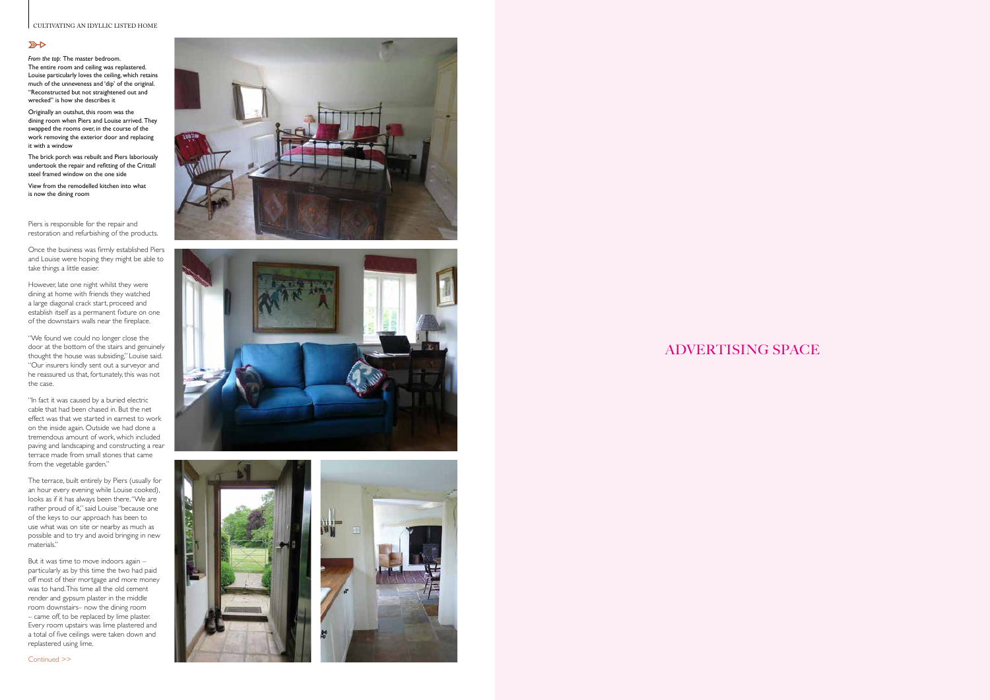## ADVERTISING SPACE

#### CULTIVATING AN IDYLLIC LISTED HOME

#### $R$

Piers is responsible for the repair and restoration and refurbishing of the products.

Once the business was firmly established Piers and Louise were hoping they might be able to take things a little easier.

However, late one night whilst they were dining at home with friends they watched a large diagonal crack start, proceed and establish itself as a permanent fixture on one of the downstairs walls near the fireplace.

"We found we could no longer close the door at the bottom of the stairs and genuinely thought the house was subsiding," Louise said. "Our insurers kindly sent out a surveyor and he reassured us that, fortunately, this was not the case.

"In fact it was caused by a buried electric cable that had been chased in. But the net effect was that we started in earnest to work on the inside again. Outside we had done a tremendous amount of work, which included paving and landscaping and constructing a rear terrace made from small stones that came from the vegetable garden."

The terrace, built entirely by Piers (usually for an hour every evening while Louise cooked), looks as if it has always been there. "We are rather proud of it," said Louise "because one of the keys to our approach has been to use what was on site or nearby as much as possible and to try and avoid bringing in new materials."

But it was time to move indoors again – particularly as by this time the two had paid off most of their mortgage and more money was to hand. This time all the old cement render and gypsum plaster in the middle room downstairs– now the dining room – came off, to be replaced by lime plaster. Every room upstairs was lime plastered and a total of five ceilings were taken down and replastered using lime.







*From the top:* The master bedroom. The entire room and ceiling was replastered. Louise particularly loves the ceiling, which retains much of the unneveness and 'dip' of the original. "Reconstructed but not straightened out and wrecked" is how she describes it

Originally an outshut, this room was the dining room when Piers and Louise arrived. They swapped the rooms over, in the course of the work removing the exterior door and replacing it with a window

The brick porch was rebuilt and Piers laboriously undertook the repair and refitting of the Crittall steel framed window on the one side

View from the remodelled kitchen into what is now the dining room